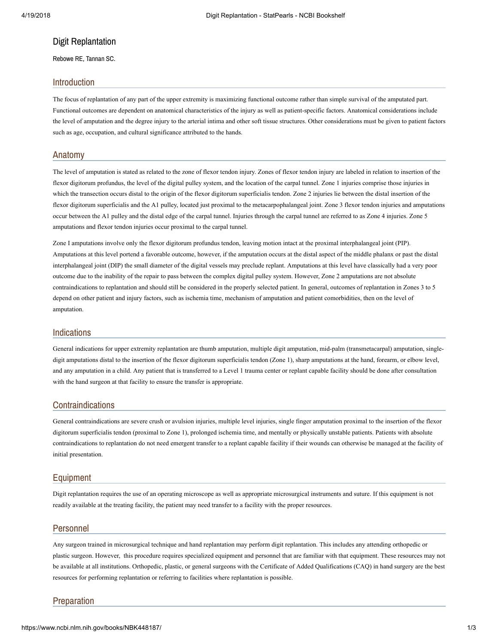# Digit Replantation

Rebowe RE, Tannan SC.

# Introduction

The focus of replantation of any part of the upper extremity is maximizing functional outcome rather than simple survival of the amputated part. Functional outcomes are dependent on anatomical characteristics of the injury as well as patient-specific factors. Anatomical considerations include the level of amputation and the degree injury to the arterial intima and other soft tissue structures. Other considerations must be given to patient factors such as age, occupation, and cultural significance attributed to the hands.

## Anatomy

The level of amputation is stated as related to the zone of flexor tendon injury. Zones of flexor tendon injury are labeled in relation to insertion of the flexor digitorum profundus, the level of the digital pulley system, and the location of the carpal tunnel. Zone 1 injuries comprise those injuries in which the transection occurs distal to the origin of the flexor digitorum superficialis tendon. Zone 2 injuries lie between the distal insertion of the flexor digitorum superficialis and the A1 pulley, located just proximal to the metacarpophalangeal joint. Zone 3 flexor tendon injuries and amputations occur between the A1 pulley and the distal edge of the carpal tunnel. Injuries through the carpal tunnel are referred to as Zone 4 injuries. Zone 5 amputations and flexor tendon injuries occur proximal to the carpal tunnel.

Zone I amputations involve only the flexor digitorum profundus tendon, leaving motion intact at the proximal interphalangeal joint (PIP). Amputations at this level portend a favorable outcome, however, if the amputation occurs at the distal aspect of the middle phalanx or past the distal interphalangeal joint (DIP) the small diameter of the digital vessels may preclude replant. Amputations at this level have classically had a very poor outcome due to the inability of the repair to pass between the complex digital pulley system. However, Zone 2 amputations are not absolute contraindications to replantation and should still be considered in the properly selected patient. In general, outcomes of replantation in Zones 3 to 5 depend on other patient and injury factors, such as ischemia time, mechanism of amputation and patient comorbidities, then on the level of amputation.

# Indications

General indications for upper extremity replantation are thumb amputation, multiple digit amputation, mid-palm (transmetacarpal) amputation, singledigit amputations distal to the insertion of the flexor digitorum superficialis tendon (Zone 1), sharp amputations at the hand, forearm, or elbow level, and any amputation in a child. Any patient that is transferred to a Level 1 trauma center or replant capable facility should be done after consultation with the hand surgeon at that facility to ensure the transfer is appropriate.

# **Contraindications**

General contraindications are severe crush or avulsion injuries, multiple level injuries, single finger amputation proximal to the insertion of the flexor digitorum superficialis tendon (proximal to Zone 1), prolonged ischemia time, and mentally or physically unstable patients. Patients with absolute contraindications to replantation do not need emergent transfer to a replant capable facility if their wounds can otherwise be managed at the facility of initial presentation.

# Equipment

Digit replantation requires the use of an operating microscope as well as appropriate microsurgical instruments and suture. If this equipment is not readily available at the treating facility, the patient may need transfer to a facility with the proper resources.

#### Personnel

Any surgeon trained in microsurgical technique and hand replantation may perform digit replantation. This includes any attending orthopedic or plastic surgeon. However, this procedure requires specialized equipment and personnel that are familiar with that equipment. These resources may not be available at all institutions. Orthopedic, plastic, or general surgeons with the Certificate of Added Qualifications (CAQ) in hand surgery are the best resources for performing replantation or referring to facilities where replantation is possible.

# Preparation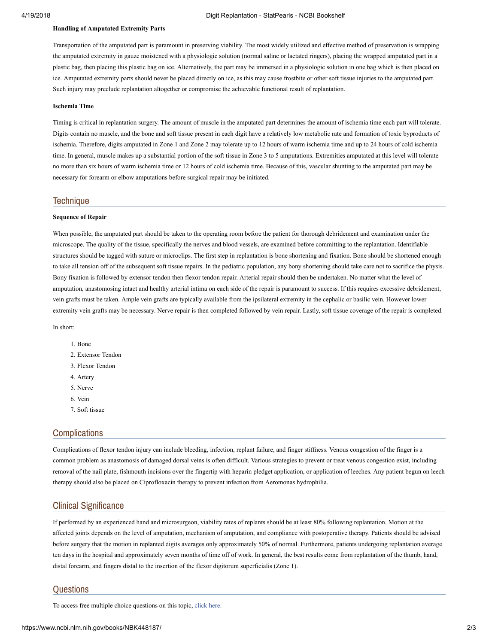#### 4/19/2018 Digit Replantation - StatPearls - NCBI Bookshelf

#### Handling of Amputated Extremity Parts

Transportation of the amputated part is paramount in preserving viability. The most widely utilized and effective method of preservation is wrapping the amputated extremity in gauze moistened with a physiologic solution (normal saline or lactated ringers), placing the wrapped amputated part in a plastic bag, then placing this plastic bag on ice. Alternatively, the part may be immersed in a physiologic solution in one bag which is then placed on ice. Amputated extremity parts should never be placed directly on ice, as this may cause frostbite or other soft tissue injuries to the amputated part. Such injury may preclude replantation altogether or compromise the achievable functional result of replantation.

#### Ischemia Time

Timing is critical in replantation surgery. The amount of muscle in the amputated part determines the amount of ischemia time each part will tolerate. Digits contain no muscle, and the bone and soft tissue present in each digit have a relatively low metabolic rate and formation of toxic byproducts of ischemia. Therefore, digits amputated in Zone 1 and Zone 2 may tolerate up to 12 hours of warm ischemia time and up to 24 hours of cold ischemia time. In general, muscle makes up a substantial portion of the soft tissue in Zone 3 to 5 amputations. Extremities amputated at this level will tolerate no more than six hours of warm ischemia time or 12 hours of cold ischemia time. Because of this, vascular shunting to the amputated part may be necessary for forearm or elbow amputations before surgical repair may be initiated.

### **Technique**

#### Sequence of Repair

When possible, the amputated part should be taken to the operating room before the patient for thorough debridement and examination under the microscope. The quality of the tissue, specifically the nerves and blood vessels, are examined before committing to the replantation. Identifiable structures should be tagged with suture or microclips. The first step in replantation is bone shortening and fixation. Bone should be shortened enough to take all tension off of the subsequent soft tissue repairs. In the pediatric population, any bony shortening should take care not to sacrifice the physis. Bony fixation is followed by extensor tendon then flexor tendon repair. Arterial repair should then be undertaken. No matter what the level of amputation, anastomosing intact and healthy arterial intima on each side of the repair is paramount to success. If this requires excessive debridement, vein grafts must be taken. Ample vein grafts are typically available from the ipsilateral extremity in the cephalic or basilic vein. However lower extremity vein grafts may be necessary. Nerve repair is then completed followed by vein repair. Lastly, soft tissue coverage of the repair is completed.

In short:

- 1. Bone
- 2. Extensor Tendon
- 3. Flexor Tendon
- 4. Artery
- 5. Nerve
- 6. Vein
- 7. Soft tissue

# **Complications**

Complications of flexor tendon injury can include bleeding, infection, replant failure, and finger stiffness. Venous congestion of the finger is a common problem as anastomosis of damaged dorsal veins is often difficult. Various strategies to prevent or treat venous congestion exist, including removal of the nail plate, fishmouth incisions over the fingertip with heparin pledget application, or application of leeches. Any patient begun on leech therapy should also be placed on Ciprofloxacin therapy to prevent infection from Aeromonas hydrophilia.

# Clinical Significance

If performed by an experienced hand and microsurgeon, viability rates of replants should be at least 80% following replantation. Motion at the affected joints depends on the level of amputation, mechanism of amputation, and compliance with postoperative therapy. Patients should be advised before surgery that the motion in replanted digits averages only approximately 50% of normal. Furthermore, patients undergoing replantation average ten days in the hospital and approximately seven months of time off of work. In general, the best results come from replantation of the thumb, hand, distal forearm, and fingers distal to the insertion of the flexor digitorum superficialis (Zone 1).

## **Questions**

To access free multiple choice questions on this topic, click [here.](https://knowledge.statpearls.com/chapter/0/20517?utm_source=pubmed)